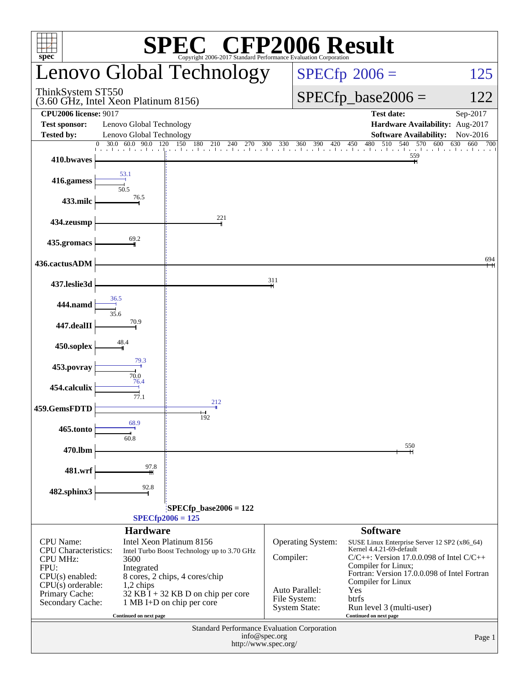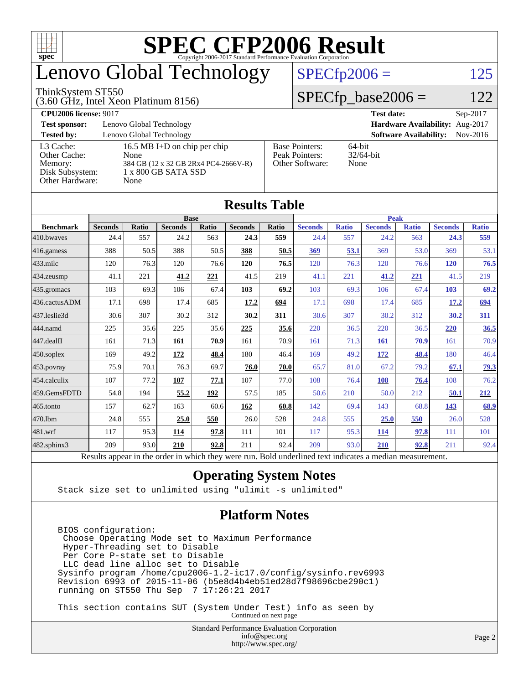

## enovo Global Technology

#### ThinkSystem ST550

(3.60 GHz, Intel Xeon Platinum 8156)

 $SPECfp2006 = 125$  $SPECfp2006 = 125$ 

#### $SPECfp\_base2006 = 122$

| <b>CPU2006 license: 9017</b> |                                      |                                 | <b>Test date:</b><br>$Sep-2017$             |  |  |  |
|------------------------------|--------------------------------------|---------------------------------|---------------------------------------------|--|--|--|
| <b>Test sponsor:</b>         | Lenovo Global Technology             | Hardware Availability: Aug-2017 |                                             |  |  |  |
| <b>Tested by:</b>            | Lenovo Global Technology             |                                 | <b>Software Availability:</b><br>$Nov-2016$ |  |  |  |
| L3 Cache:                    | 16.5 MB I+D on chip per chip         | <b>Base Pointers:</b>           | $64$ -bit                                   |  |  |  |
| Other Cache:                 | None                                 | Peak Pointers:                  | $32/64$ -bit                                |  |  |  |
| Memory:                      | 384 GB (12 x 32 GB 2Rx4 PC4-2666V-R) | Other Software:                 | None                                        |  |  |  |
| Disk Subsystem:              | $1 \times 800$ GB SATA SSD           |                                 |                                             |  |  |  |
| Other Hardware:              | None                                 |                                 |                                             |  |  |  |

**[Results Table](http://www.spec.org/auto/cpu2006/Docs/result-fields.html#ResultsTable)**

| Results Table     |                                                                                                          |              |                |       |                |       |                |              |                |              |                |              |
|-------------------|----------------------------------------------------------------------------------------------------------|--------------|----------------|-------|----------------|-------|----------------|--------------|----------------|--------------|----------------|--------------|
|                   | <b>Base</b>                                                                                              |              |                |       |                |       | <b>Peak</b>    |              |                |              |                |              |
| <b>Benchmark</b>  | <b>Seconds</b>                                                                                           | <b>Ratio</b> | <b>Seconds</b> | Ratio | <b>Seconds</b> | Ratio | <b>Seconds</b> | <b>Ratio</b> | <b>Seconds</b> | <b>Ratio</b> | <b>Seconds</b> | <b>Ratio</b> |
| 410.bwayes        | 24.4                                                                                                     | 557          | 24.2           | 563   | 24.3           | 559   | 24.4           | 557          | 24.2           | 563          | 24.3           | 559          |
| $416$ .gamess     | 388                                                                                                      | 50.5         | 388            | 50.5  | 388            | 50.5  | 369            | 53.1         | 369            | 53.0         | 369            | 53.1         |
| 433.milc          | 120                                                                                                      | 76.3         | 120            | 76.6  | 120            | 76.5  | 120            | 76.3         | 120            | 76.6         | 120            | 76.5         |
| $434$ . zeusmp    | 41.1                                                                                                     | 221          | 41.2           | 221   | 41.5           | 219   | 41.1           | 221          | 41.2           | <u>221</u>   | 41.5           | 219          |
| $435.$ gromacs    | 103                                                                                                      | 69.3         | 106            | 67.4  | 103            | 69.2  | 103            | 69.3         | 106            | 67.4         | 103            | 69.2         |
| 436.cactusADM     | 17.1                                                                                                     | 698          | 17.4           | 685   | 17.2           | 694   | 17.1           | 698          | 17.4           | 685          | 17.2           | 694          |
| 437.leslie3d      | 30.6                                                                                                     | 307          | 30.2           | 312   | 30.2           | 311   | 30.6           | 307          | 30.2           | 312          | 30.2           | 311          |
| 444.namd          | 225                                                                                                      | 35.6         | 225            | 35.6  | 225            | 35.6  | 220            | 36.5         | 220            | 36.5         | 220            | 36.5         |
| 447.dealII        | 161                                                                                                      | 71.3         | 161            | 70.9  | 161            | 70.9  | 161            | 71.3         | 161            | 70.9         | 161            | 70.9         |
| $450$ .soplex     | 169                                                                                                      | 49.2         | <u>172</u>     | 48.4  | 180            | 46.4  | 169            | 49.2         | <u>172</u>     | 48.4         | 180            | 46.4         |
| 453.povray        | 75.9                                                                                                     | 70.1         | 76.3           | 69.7  | 76.0           | 70.0  | 65.7           | 81.0         | 67.2           | 79.2         | 67.1           | 79.3         |
| 454.calculix      | 107                                                                                                      | 77.2         | 107            | 77.1  | 107            | 77.0  | 108            | 76.4         | 108            | 76.4         | 108            | 76.2         |
| 459.GemsFDTD      | 54.8                                                                                                     | 194          | 55.2           | 192   | 57.5           | 185   | 50.6           | 210          | 50.0           | 212          | 50.1           | 212          |
| $465$ .tonto      | 157                                                                                                      | 62.7         | 163            | 60.6  | 162            | 60.8  | 142            | 69.4         | 143            | 68.8         | 143            | 68.9         |
| 470.1bm           | 24.8                                                                                                     | 555          | 25.0           | 550   | 26.0           | 528   | 24.8           | 555          | 25.0           | 550          | 26.0           | 528          |
| 481.wrf           | 117                                                                                                      | 95.3         | <u>114</u>     | 97.8  | 111            | 101   | 117            | 95.3         | 114            | 97.8         | 111            | 101          |
| $482$ .sphinx $3$ | 209                                                                                                      | 93.0         | 210            | 92.8  | 211            | 92.4  | 209            | 93.0         | 210            | 92.8         | 211            | 92.4         |
|                   | Results appear in the order in which they were run. Bold underlined text indicates a median measurement. |              |                |       |                |       |                |              |                |              |                |              |

#### **[Operating System Notes](http://www.spec.org/auto/cpu2006/Docs/result-fields.html#OperatingSystemNotes)**

Stack size set to unlimited using "ulimit -s unlimited"

#### **[Platform Notes](http://www.spec.org/auto/cpu2006/Docs/result-fields.html#PlatformNotes)**

 BIOS configuration: Choose Operating Mode set to Maximum Performance Hyper-Threading set to Disable Per Core P-state set to Disable LLC dead line alloc set to Disable Sysinfo program /home/cpu2006-1.2-ic17.0/config/sysinfo.rev6993 Revision 6993 of 2015-11-06 (b5e8d4b4eb51ed28d7f98696cbe290c1) running on ST550 Thu Sep 7 17:26:21 2017

 This section contains SUT (System Under Test) info as seen by Continued on next page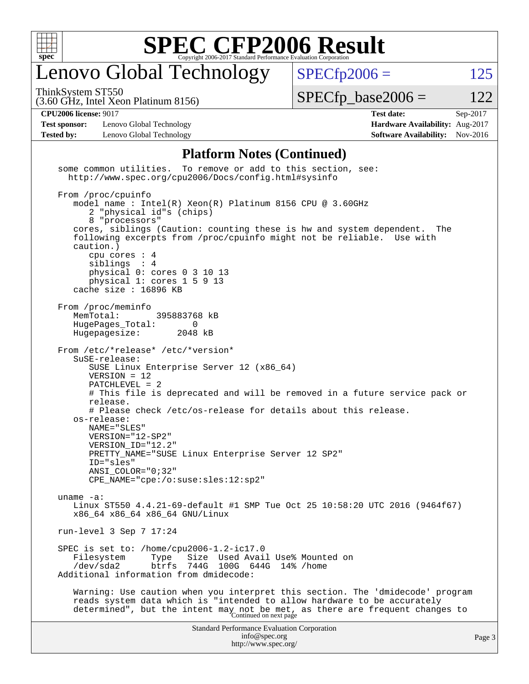

## enovo Global Technology

ThinkSystem ST550

 $SPECTp2006 = 125$ 

(3.60 GHz, Intel Xeon Platinum 8156)

 $SPECTp\_base2006 = 122$ 

**[Test sponsor:](http://www.spec.org/auto/cpu2006/Docs/result-fields.html#Testsponsor)** Lenovo Global Technology **[Hardware Availability:](http://www.spec.org/auto/cpu2006/Docs/result-fields.html#HardwareAvailability)** Aug-2017 **[Tested by:](http://www.spec.org/auto/cpu2006/Docs/result-fields.html#Testedby)** Lenovo Global Technology **[Software Availability:](http://www.spec.org/auto/cpu2006/Docs/result-fields.html#SoftwareAvailability)** Nov-2016

**[CPU2006 license:](http://www.spec.org/auto/cpu2006/Docs/result-fields.html#CPU2006license)** 9017 **[Test date:](http://www.spec.org/auto/cpu2006/Docs/result-fields.html#Testdate)** Sep-2017

#### **[Platform Notes \(Continued\)](http://www.spec.org/auto/cpu2006/Docs/result-fields.html#PlatformNotes)**

Standard Performance Evaluation Corporation [info@spec.org](mailto:info@spec.org) <http://www.spec.org/> some common utilities. To remove or add to this section, see: <http://www.spec.org/cpu2006/Docs/config.html#sysinfo> From /proc/cpuinfo model name : Intel(R) Xeon(R) Platinum 8156 CPU @ 3.60GHz 2 "physical id"s (chips) 8 "processors" cores, siblings (Caution: counting these is hw and system dependent. The following excerpts from /proc/cpuinfo might not be reliable. Use with caution.) cpu cores : 4 siblings : 4 physical 0: cores 0 3 10 13 physical 1: cores 1 5 9 13 cache size : 16896 KB From /proc/meminfo MemTotal: 395883768 kB HugePages\_Total: 0<br>Hugepagesize: 2048 kB Hugepagesize: From /etc/\*release\* /etc/\*version\* SuSE-release: SUSE Linux Enterprise Server 12 (x86\_64) VERSION = 12 PATCHLEVEL = 2 # This file is deprecated and will be removed in a future service pack or release. # Please check /etc/os-release for details about this release. os-release: NAME="SLES" VERSION="12-SP2" VERSION\_ID="12.2" PRETTY\_NAME="SUSE Linux Enterprise Server 12 SP2" ID="sles" ANSI\_COLOR="0;32" CPE\_NAME="cpe:/o:suse:sles:12:sp2" uname -a: Linux ST550 4.4.21-69-default #1 SMP Tue Oct 25 10:58:20 UTC 2016 (9464f67) x86\_64 x86\_64 x86\_64 GNU/Linux run-level 3 Sep 7 17:24 SPEC is set to: /home/cpu2006-1.2-ic17.0 Filesystem Type Size Used Avail Use% Mounted on<br>
/dev/sda2 btrfs 744G 100G 644G 14% /home 744G 100G 644G 14% /home Additional information from dmidecode: Warning: Use caution when you interpret this section. The 'dmidecode' program reads system data which is "intended to allow hardware to be accurately determined", but the intent may not be met, as there are frequent changes to<br>Continued on next page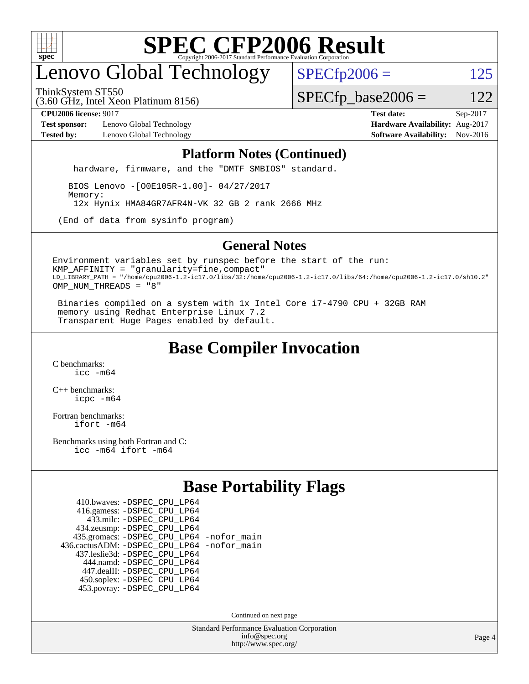

# enovo Global Technology

ThinkSystem ST550

 $SPECfp2006 = 125$  $SPECfp2006 = 125$ 

(3.60 GHz, Intel Xeon Platinum 8156)

 $SPECfp\_base2006 = 122$ 

**[Test sponsor:](http://www.spec.org/auto/cpu2006/Docs/result-fields.html#Testsponsor)** Lenovo Global Technology **[Hardware Availability:](http://www.spec.org/auto/cpu2006/Docs/result-fields.html#HardwareAvailability)** Aug-2017 **[Tested by:](http://www.spec.org/auto/cpu2006/Docs/result-fields.html#Testedby)** Lenovo Global Technology **[Software Availability:](http://www.spec.org/auto/cpu2006/Docs/result-fields.html#SoftwareAvailability)** Nov-2016

**[CPU2006 license:](http://www.spec.org/auto/cpu2006/Docs/result-fields.html#CPU2006license)** 9017 **[Test date:](http://www.spec.org/auto/cpu2006/Docs/result-fields.html#Testdate)** Sep-2017

#### **[Platform Notes \(Continued\)](http://www.spec.org/auto/cpu2006/Docs/result-fields.html#PlatformNotes)**

hardware, firmware, and the "DMTF SMBIOS" standard.

 BIOS Lenovo -[O0E105R-1.00]- 04/27/2017 Memory: 12x Hynix HMA84GR7AFR4N-VK 32 GB 2 rank 2666 MHz

(End of data from sysinfo program)

#### **[General Notes](http://www.spec.org/auto/cpu2006/Docs/result-fields.html#GeneralNotes)**

Environment variables set by runspec before the start of the run: KMP\_AFFINITY = "granularity=fine,compact" LD\_LIBRARY\_PATH = "/home/cpu2006-1.2-ic17.0/libs/32:/home/cpu2006-1.2-ic17.0/libs/64:/home/cpu2006-1.2-ic17.0/sh10.2" OMP\_NUM\_THREADS = "8"

 Binaries compiled on a system with 1x Intel Core i7-4790 CPU + 32GB RAM memory using Redhat Enterprise Linux 7.2 Transparent Huge Pages enabled by default.

### **[Base Compiler Invocation](http://www.spec.org/auto/cpu2006/Docs/result-fields.html#BaseCompilerInvocation)**

[C benchmarks](http://www.spec.org/auto/cpu2006/Docs/result-fields.html#Cbenchmarks): [icc -m64](http://www.spec.org/cpu2006/results/res2017q4/cpu2006-20170912-49336.flags.html#user_CCbase_intel_icc_64bit_bda6cc9af1fdbb0edc3795bac97ada53)

[C++ benchmarks:](http://www.spec.org/auto/cpu2006/Docs/result-fields.html#CXXbenchmarks) [icpc -m64](http://www.spec.org/cpu2006/results/res2017q4/cpu2006-20170912-49336.flags.html#user_CXXbase_intel_icpc_64bit_fc66a5337ce925472a5c54ad6a0de310)

[Fortran benchmarks](http://www.spec.org/auto/cpu2006/Docs/result-fields.html#Fortranbenchmarks): [ifort -m64](http://www.spec.org/cpu2006/results/res2017q4/cpu2006-20170912-49336.flags.html#user_FCbase_intel_ifort_64bit_ee9d0fb25645d0210d97eb0527dcc06e)

[Benchmarks using both Fortran and C](http://www.spec.org/auto/cpu2006/Docs/result-fields.html#BenchmarksusingbothFortranandC): [icc -m64](http://www.spec.org/cpu2006/results/res2017q4/cpu2006-20170912-49336.flags.html#user_CC_FCbase_intel_icc_64bit_bda6cc9af1fdbb0edc3795bac97ada53) [ifort -m64](http://www.spec.org/cpu2006/results/res2017q4/cpu2006-20170912-49336.flags.html#user_CC_FCbase_intel_ifort_64bit_ee9d0fb25645d0210d97eb0527dcc06e)

### **[Base Portability Flags](http://www.spec.org/auto/cpu2006/Docs/result-fields.html#BasePortabilityFlags)**

| 410.bwaves: - DSPEC CPU LP64                 |  |
|----------------------------------------------|--|
| 416.gamess: -DSPEC_CPU_LP64                  |  |
| 433.milc: -DSPEC CPU LP64                    |  |
| 434.zeusmp: -DSPEC_CPU_LP64                  |  |
| 435.gromacs: -DSPEC_CPU_LP64 -nofor_main     |  |
| 436.cactusADM: - DSPEC CPU LP64 - nofor main |  |
| 437.leslie3d: -DSPEC_CPU_LP64                |  |
| 444.namd: - DSPEC CPU LP64                   |  |
| 447.dealII: -DSPEC CPU LP64                  |  |
| 450.soplex: -DSPEC_CPU_LP64                  |  |
| 453.povray: -DSPEC CPU LP64                  |  |

Continued on next page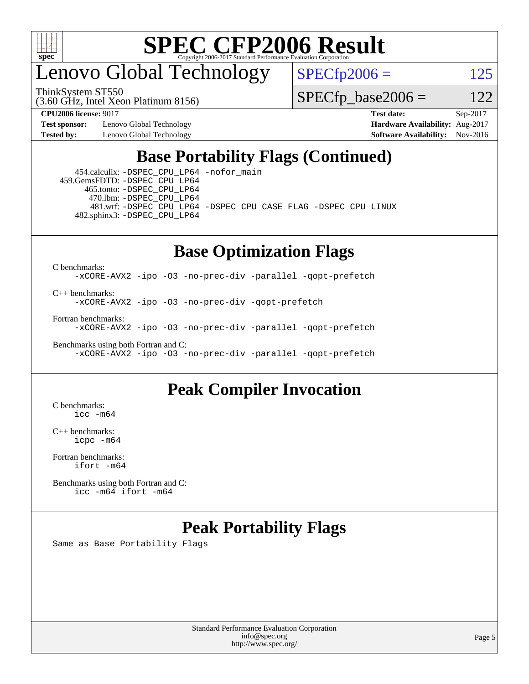

enovo Global Technology

ThinkSystem ST550

 $SPECfp2006 = 125$  $SPECfp2006 = 125$ 

(3.60 GHz, Intel Xeon Platinum 8156)

 $SPECTp\_base2006 = 122$ 

**[Test sponsor:](http://www.spec.org/auto/cpu2006/Docs/result-fields.html#Testsponsor)** Lenovo Global Technology **[Hardware Availability:](http://www.spec.org/auto/cpu2006/Docs/result-fields.html#HardwareAvailability)** Aug-2017

**[CPU2006 license:](http://www.spec.org/auto/cpu2006/Docs/result-fields.html#CPU2006license)** 9017 **[Test date:](http://www.spec.org/auto/cpu2006/Docs/result-fields.html#Testdate)** Sep-2017 **[Tested by:](http://www.spec.org/auto/cpu2006/Docs/result-fields.html#Testedby)** Lenovo Global Technology **[Software Availability:](http://www.spec.org/auto/cpu2006/Docs/result-fields.html#SoftwareAvailability)** Nov-2016

### **[Base Portability Flags \(Continued\)](http://www.spec.org/auto/cpu2006/Docs/result-fields.html#BasePortabilityFlags)**

 454.calculix: [-DSPEC\\_CPU\\_LP64](http://www.spec.org/cpu2006/results/res2017q4/cpu2006-20170912-49336.flags.html#suite_basePORTABILITY454_calculix_DSPEC_CPU_LP64) [-nofor\\_main](http://www.spec.org/cpu2006/results/res2017q4/cpu2006-20170912-49336.flags.html#user_baseLDPORTABILITY454_calculix_f-nofor_main) 459.GemsFDTD: [-DSPEC\\_CPU\\_LP64](http://www.spec.org/cpu2006/results/res2017q4/cpu2006-20170912-49336.flags.html#suite_basePORTABILITY459_GemsFDTD_DSPEC_CPU_LP64) 465.tonto: [-DSPEC\\_CPU\\_LP64](http://www.spec.org/cpu2006/results/res2017q4/cpu2006-20170912-49336.flags.html#suite_basePORTABILITY465_tonto_DSPEC_CPU_LP64) 470.lbm: [-DSPEC\\_CPU\\_LP64](http://www.spec.org/cpu2006/results/res2017q4/cpu2006-20170912-49336.flags.html#suite_basePORTABILITY470_lbm_DSPEC_CPU_LP64) 481.wrf: [-DSPEC\\_CPU\\_LP64](http://www.spec.org/cpu2006/results/res2017q4/cpu2006-20170912-49336.flags.html#suite_basePORTABILITY481_wrf_DSPEC_CPU_LP64) [-DSPEC\\_CPU\\_CASE\\_FLAG](http://www.spec.org/cpu2006/results/res2017q4/cpu2006-20170912-49336.flags.html#b481.wrf_baseCPORTABILITY_DSPEC_CPU_CASE_FLAG) [-DSPEC\\_CPU\\_LINUX](http://www.spec.org/cpu2006/results/res2017q4/cpu2006-20170912-49336.flags.html#b481.wrf_baseCPORTABILITY_DSPEC_CPU_LINUX) 482.sphinx3: [-DSPEC\\_CPU\\_LP64](http://www.spec.org/cpu2006/results/res2017q4/cpu2006-20170912-49336.flags.html#suite_basePORTABILITY482_sphinx3_DSPEC_CPU_LP64)

## **[Base Optimization Flags](http://www.spec.org/auto/cpu2006/Docs/result-fields.html#BaseOptimizationFlags)**

[C benchmarks](http://www.spec.org/auto/cpu2006/Docs/result-fields.html#Cbenchmarks):

[-xCORE-AVX2](http://www.spec.org/cpu2006/results/res2017q4/cpu2006-20170912-49336.flags.html#user_CCbase_f-xCORE-AVX2) [-ipo](http://www.spec.org/cpu2006/results/res2017q4/cpu2006-20170912-49336.flags.html#user_CCbase_f-ipo) [-O3](http://www.spec.org/cpu2006/results/res2017q4/cpu2006-20170912-49336.flags.html#user_CCbase_f-O3) [-no-prec-div](http://www.spec.org/cpu2006/results/res2017q4/cpu2006-20170912-49336.flags.html#user_CCbase_f-no-prec-div) [-parallel](http://www.spec.org/cpu2006/results/res2017q4/cpu2006-20170912-49336.flags.html#user_CCbase_f-parallel) [-qopt-prefetch](http://www.spec.org/cpu2006/results/res2017q4/cpu2006-20170912-49336.flags.html#user_CCbase_f-qopt-prefetch)

[C++ benchmarks:](http://www.spec.org/auto/cpu2006/Docs/result-fields.html#CXXbenchmarks)

[-xCORE-AVX2](http://www.spec.org/cpu2006/results/res2017q4/cpu2006-20170912-49336.flags.html#user_CXXbase_f-xCORE-AVX2) [-ipo](http://www.spec.org/cpu2006/results/res2017q4/cpu2006-20170912-49336.flags.html#user_CXXbase_f-ipo) [-O3](http://www.spec.org/cpu2006/results/res2017q4/cpu2006-20170912-49336.flags.html#user_CXXbase_f-O3) [-no-prec-div](http://www.spec.org/cpu2006/results/res2017q4/cpu2006-20170912-49336.flags.html#user_CXXbase_f-no-prec-div) [-qopt-prefetch](http://www.spec.org/cpu2006/results/res2017q4/cpu2006-20170912-49336.flags.html#user_CXXbase_f-qopt-prefetch)

[Fortran benchmarks](http://www.spec.org/auto/cpu2006/Docs/result-fields.html#Fortranbenchmarks):

[-xCORE-AVX2](http://www.spec.org/cpu2006/results/res2017q4/cpu2006-20170912-49336.flags.html#user_FCbase_f-xCORE-AVX2) [-ipo](http://www.spec.org/cpu2006/results/res2017q4/cpu2006-20170912-49336.flags.html#user_FCbase_f-ipo) [-O3](http://www.spec.org/cpu2006/results/res2017q4/cpu2006-20170912-49336.flags.html#user_FCbase_f-O3) [-no-prec-div](http://www.spec.org/cpu2006/results/res2017q4/cpu2006-20170912-49336.flags.html#user_FCbase_f-no-prec-div) [-parallel](http://www.spec.org/cpu2006/results/res2017q4/cpu2006-20170912-49336.flags.html#user_FCbase_f-parallel) [-qopt-prefetch](http://www.spec.org/cpu2006/results/res2017q4/cpu2006-20170912-49336.flags.html#user_FCbase_f-qopt-prefetch)

[Benchmarks using both Fortran and C](http://www.spec.org/auto/cpu2006/Docs/result-fields.html#BenchmarksusingbothFortranandC): [-xCORE-AVX2](http://www.spec.org/cpu2006/results/res2017q4/cpu2006-20170912-49336.flags.html#user_CC_FCbase_f-xCORE-AVX2) [-ipo](http://www.spec.org/cpu2006/results/res2017q4/cpu2006-20170912-49336.flags.html#user_CC_FCbase_f-ipo) [-O3](http://www.spec.org/cpu2006/results/res2017q4/cpu2006-20170912-49336.flags.html#user_CC_FCbase_f-O3) [-no-prec-div](http://www.spec.org/cpu2006/results/res2017q4/cpu2006-20170912-49336.flags.html#user_CC_FCbase_f-no-prec-div) [-parallel](http://www.spec.org/cpu2006/results/res2017q4/cpu2006-20170912-49336.flags.html#user_CC_FCbase_f-parallel) [-qopt-prefetch](http://www.spec.org/cpu2006/results/res2017q4/cpu2006-20170912-49336.flags.html#user_CC_FCbase_f-qopt-prefetch)

### **[Peak Compiler Invocation](http://www.spec.org/auto/cpu2006/Docs/result-fields.html#PeakCompilerInvocation)**

[C benchmarks](http://www.spec.org/auto/cpu2006/Docs/result-fields.html#Cbenchmarks): [icc -m64](http://www.spec.org/cpu2006/results/res2017q4/cpu2006-20170912-49336.flags.html#user_CCpeak_intel_icc_64bit_bda6cc9af1fdbb0edc3795bac97ada53)

[C++ benchmarks:](http://www.spec.org/auto/cpu2006/Docs/result-fields.html#CXXbenchmarks) [icpc -m64](http://www.spec.org/cpu2006/results/res2017q4/cpu2006-20170912-49336.flags.html#user_CXXpeak_intel_icpc_64bit_fc66a5337ce925472a5c54ad6a0de310)

[Fortran benchmarks](http://www.spec.org/auto/cpu2006/Docs/result-fields.html#Fortranbenchmarks): [ifort -m64](http://www.spec.org/cpu2006/results/res2017q4/cpu2006-20170912-49336.flags.html#user_FCpeak_intel_ifort_64bit_ee9d0fb25645d0210d97eb0527dcc06e)

[Benchmarks using both Fortran and C](http://www.spec.org/auto/cpu2006/Docs/result-fields.html#BenchmarksusingbothFortranandC): [icc -m64](http://www.spec.org/cpu2006/results/res2017q4/cpu2006-20170912-49336.flags.html#user_CC_FCpeak_intel_icc_64bit_bda6cc9af1fdbb0edc3795bac97ada53) [ifort -m64](http://www.spec.org/cpu2006/results/res2017q4/cpu2006-20170912-49336.flags.html#user_CC_FCpeak_intel_ifort_64bit_ee9d0fb25645d0210d97eb0527dcc06e)

### **[Peak Portability Flags](http://www.spec.org/auto/cpu2006/Docs/result-fields.html#PeakPortabilityFlags)**

Same as Base Portability Flags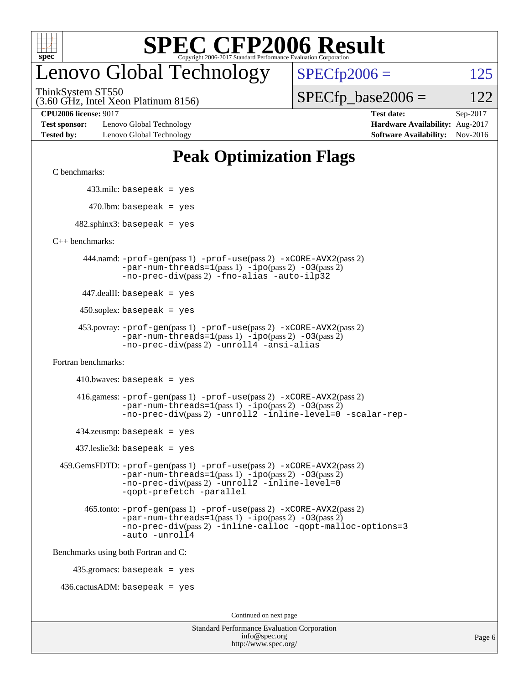

## enovo Global Technology

ThinkSystem ST550

 $SPECfp2006 = 125$  $SPECfp2006 = 125$ 

(3.60 GHz, Intel Xeon Platinum 8156)

 $SPECTp\_base2006 = 122$ 

**[Test sponsor:](http://www.spec.org/auto/cpu2006/Docs/result-fields.html#Testsponsor)** Lenovo Global Technology **[Hardware Availability:](http://www.spec.org/auto/cpu2006/Docs/result-fields.html#HardwareAvailability)** Aug-2017 **[Tested by:](http://www.spec.org/auto/cpu2006/Docs/result-fields.html#Testedby)** Lenovo Global Technology **[Software Availability:](http://www.spec.org/auto/cpu2006/Docs/result-fields.html#SoftwareAvailability)** Nov-2016

**[CPU2006 license:](http://www.spec.org/auto/cpu2006/Docs/result-fields.html#CPU2006license)** 9017 **[Test date:](http://www.spec.org/auto/cpu2006/Docs/result-fields.html#Testdate)** Sep-2017

### **[Peak Optimization Flags](http://www.spec.org/auto/cpu2006/Docs/result-fields.html#PeakOptimizationFlags)**

[C benchmarks](http://www.spec.org/auto/cpu2006/Docs/result-fields.html#Cbenchmarks):

433.milc: basepeak = yes

 $470.$ lbm: basepeak = yes

 $482$ .sphinx3: basepeak = yes

[C++ benchmarks:](http://www.spec.org/auto/cpu2006/Docs/result-fields.html#CXXbenchmarks)

 444.namd: [-prof-gen](http://www.spec.org/cpu2006/results/res2017q4/cpu2006-20170912-49336.flags.html#user_peakPASS1_CXXFLAGSPASS1_LDFLAGS444_namd_prof_gen_e43856698f6ca7b7e442dfd80e94a8fc)(pass 1) [-prof-use](http://www.spec.org/cpu2006/results/res2017q4/cpu2006-20170912-49336.flags.html#user_peakPASS2_CXXFLAGSPASS2_LDFLAGS444_namd_prof_use_bccf7792157ff70d64e32fe3e1250b55)(pass 2) [-xCORE-AVX2](http://www.spec.org/cpu2006/results/res2017q4/cpu2006-20170912-49336.flags.html#user_peakPASS2_CXXFLAGSPASS2_LDFLAGS444_namd_f-xCORE-AVX2)(pass 2)  $-par-num-threads=1(pass 1) -ipo(pass 2) -O3(pass 2)$  $-par-num-threads=1(pass 1) -ipo(pass 2) -O3(pass 2)$  $-par-num-threads=1(pass 1) -ipo(pass 2) -O3(pass 2)$  $-par-num-threads=1(pass 1) -ipo(pass 2) -O3(pass 2)$  $-par-num-threads=1(pass 1) -ipo(pass 2) -O3(pass 2)$  $-par-num-threads=1(pass 1) -ipo(pass 2) -O3(pass 2)$ [-no-prec-div](http://www.spec.org/cpu2006/results/res2017q4/cpu2006-20170912-49336.flags.html#user_peakPASS2_CXXFLAGSPASS2_LDFLAGS444_namd_f-no-prec-div)(pass 2) [-fno-alias](http://www.spec.org/cpu2006/results/res2017q4/cpu2006-20170912-49336.flags.html#user_peakCXXOPTIMIZEOPTIMIZE444_namd_f-no-alias_694e77f6c5a51e658e82ccff53a9e63a) [-auto-ilp32](http://www.spec.org/cpu2006/results/res2017q4/cpu2006-20170912-49336.flags.html#user_peakCXXOPTIMIZE444_namd_f-auto-ilp32)

447.dealII: basepeak = yes

 $450$ .soplex: basepeak = yes

```
 453.povray: -prof-gen(pass 1) -prof-use(pass 2) -xCORE-AVX2(pass 2)
         -par-num-threads=1-ipo-O3(pass 2)-no-prec-div(pass 2) -unroll4 -ansi-alias
```
[Fortran benchmarks](http://www.spec.org/auto/cpu2006/Docs/result-fields.html#Fortranbenchmarks):

```
410.bwaves: basepeak = yes
```

```
 416.gamess: -prof-gen(pass 1) -prof-use(pass 2) -xCORE-AVX2(pass 2)
         -par-num-threads=1-ipo-O3(pass 2)-no-prec-div(pass 2) -unroll2 -inline-level=0 -scalar-rep-
```
 $434$ .zeusmp: basepeak = yes

437.leslie3d: basepeak = yes

```
 459.GemsFDTD: -prof-gen(pass 1) -prof-use(pass 2) -xCORE-AVX2(pass 2)
            -par-num-threads=1-ipo-O3(pass 2)-no-prec-div(pass 2) -unroll2 -inline-level=0
            -qopt-prefetch -parallel
```

```
 465.tonto: -prof-gen(pass 1) -prof-use(pass 2) -xCORE-AVX2(pass 2)
       -par-num-threads=1-ipo-O3(pass 2)-no-prec-div-inline-calloc-qopt-malloc-options=3
       -auto -unroll4
```
[Benchmarks using both Fortran and C](http://www.spec.org/auto/cpu2006/Docs/result-fields.html#BenchmarksusingbothFortranandC):

435.gromacs: basepeak = yes

 $436.cactusADM:basepeak = yes$ 

Continued on next page

| <b>Standard Performance Evaluation Corporation</b> |
|----------------------------------------------------|
| info@spec.org                                      |
| http://www.spec.org/                               |